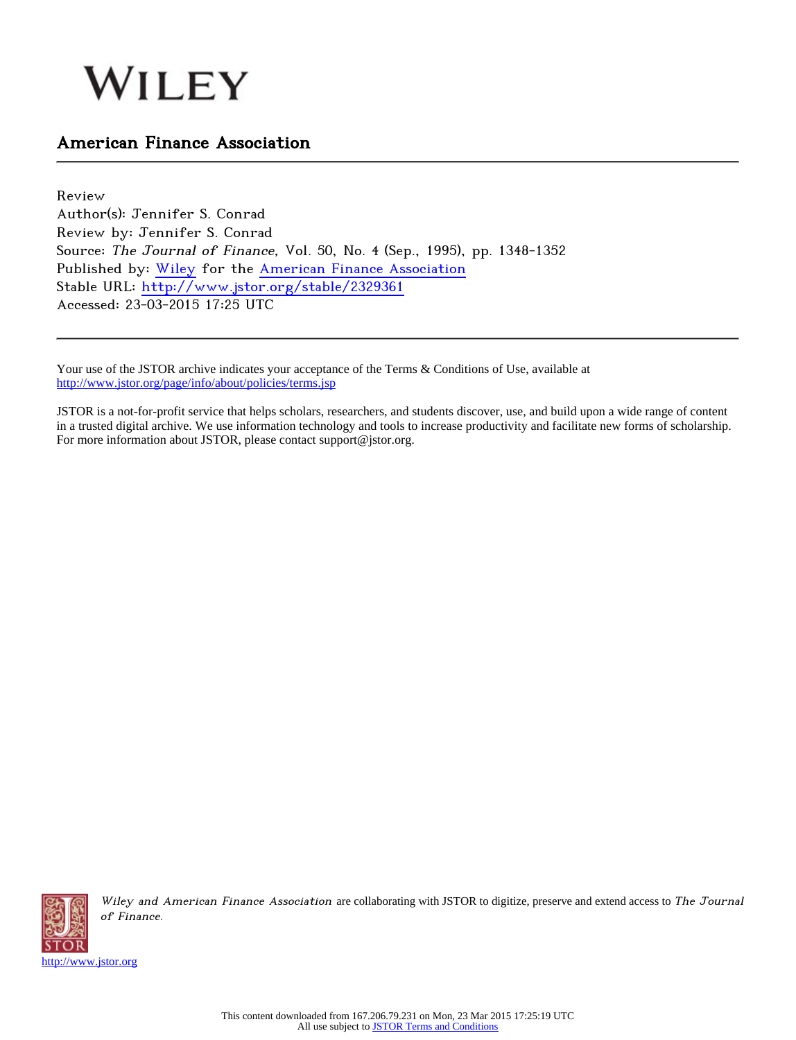## WILEY

## American Finance Association

Review Author(s): Jennifer S. Conrad Review by: Jennifer S. Conrad Source: The Journal of Finance, Vol. 50, No. 4 (Sep., 1995), pp. 1348-1352 Published by: [Wiley](http://www.jstor.org/action/showPublisher?publisherCode=black) for the [American Finance Association](http://www.jstor.org/action/showPublisher?publisherCode=afina) Stable URL: <http://www.jstor.org/stable/2329361> Accessed: 23-03-2015 17:25 UTC

Your use of the JSTOR archive indicates your acceptance of the Terms & Conditions of Use, available at <http://www.jstor.org/page/info/about/policies/terms.jsp>

JSTOR is a not-for-profit service that helps scholars, researchers, and students discover, use, and build upon a wide range of content in a trusted digital archive. We use information technology and tools to increase productivity and facilitate new forms of scholarship. For more information about JSTOR, please contact support@jstor.org.



Wiley and American Finance Association are collaborating with JSTOR to digitize, preserve and extend access to The Journal of Finance.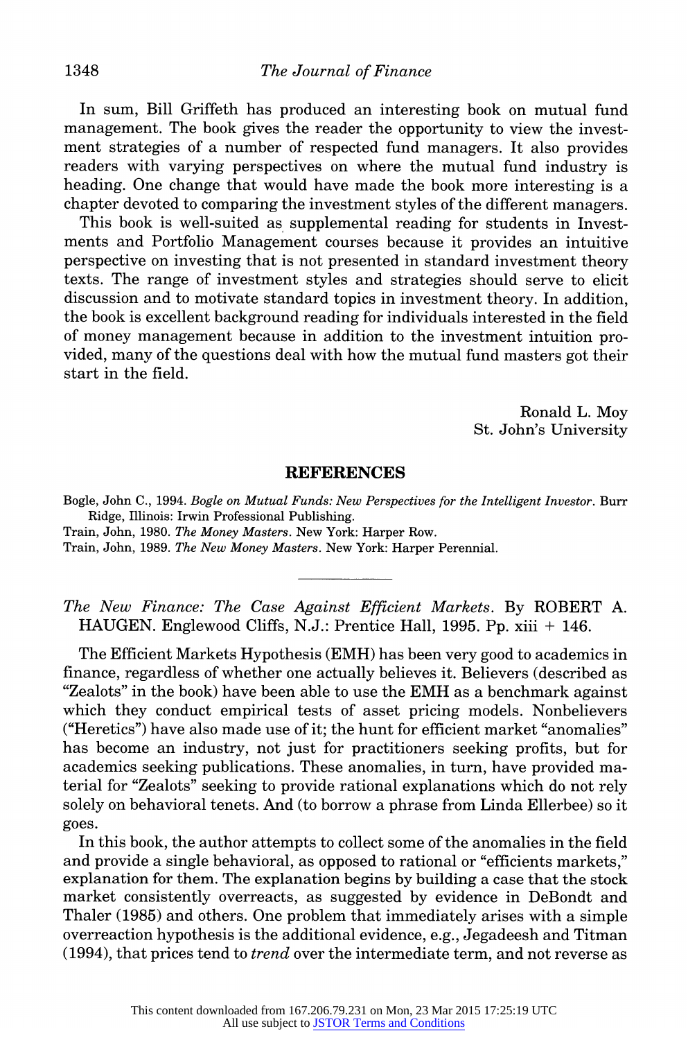**In sum, Bill Griffeth has produced an interesting book on mutual fund management. The book gives the reader the opportunity to view the investment strategies of a number of respected fund managers. It also provides readers with varying perspectives on where the mutual fund industry is heading. One change that would have made the book more interesting is a chapter devoted to comparing the investment styles of the different managers.** 

**This book is well-suited as supplemental reading for students in Investments and Portfolio Management courses because it provides an intuitive perspective on investing that is not presented in standard investment theory texts. The range of investment styles and strategies should serve to elicit discussion and to motivate standard topics in investment theory. In addition, the book is excellent background reading for individuals interested in the field of money management because in addition to the investment intuition provided, many of the questions deal with how the mutual fund masters got their start in the field.** 

> **Ronald L. Moy St. John's University**

## **REFERENCES**

**Bogle, John C., 1994. Bogle on Mutual Funds: New Perspectives for the Intelligent Investor. Burr Ridge, Illinois: Irwin Professional Publishing.** 

**Train, John, 1980. The Money Masters. New York: Harper Row. Train, John, 1989. The New Money Masters. New York: Harper Perennial.** 

**The New Finance: The Case Against Efficient Markets. By ROBERT A. HAUGEN. Englewood Cliffs, N.J.: Prentice Hall, 1995. Pp. xiii + 146.** 

**The Efficient Markets Hypothesis (EMH) has been very good to academics in finance, regardless of whether one actually believes it. Believers (described as "Zealots" in the book) have been able to use the EMH as a benchmark against which they conduct empirical tests of asset pricing models. Nonbelievers ("Heretics") have also made use of it; the hunt for efficient market "anomalies" has become an industry, not just for practitioners seeking profits, but for academics seeking publications. These anomalies, in turn, have provided material for "Zealots" seeking to provide rational explanations which do not rely solely on behavioral tenets. And (to borrow a phrase from Linda Ellerbee) so it goes.** 

**In this book, the author attempts to collect some of the anomalies in the field and provide a single behavioral, as opposed to rational or "efficients markets," explanation for them. The explanation begins by building a case that the stock market consistently overreacts, as suggested by evidence in DeBondt and Thaler (1985) and others. One problem that immediately arises with a simple overreaction hypothesis is the additional evidence, e.g., Jegadeesh and Titman (1994), that prices tend to trend over the intermediate term, and not reverse as**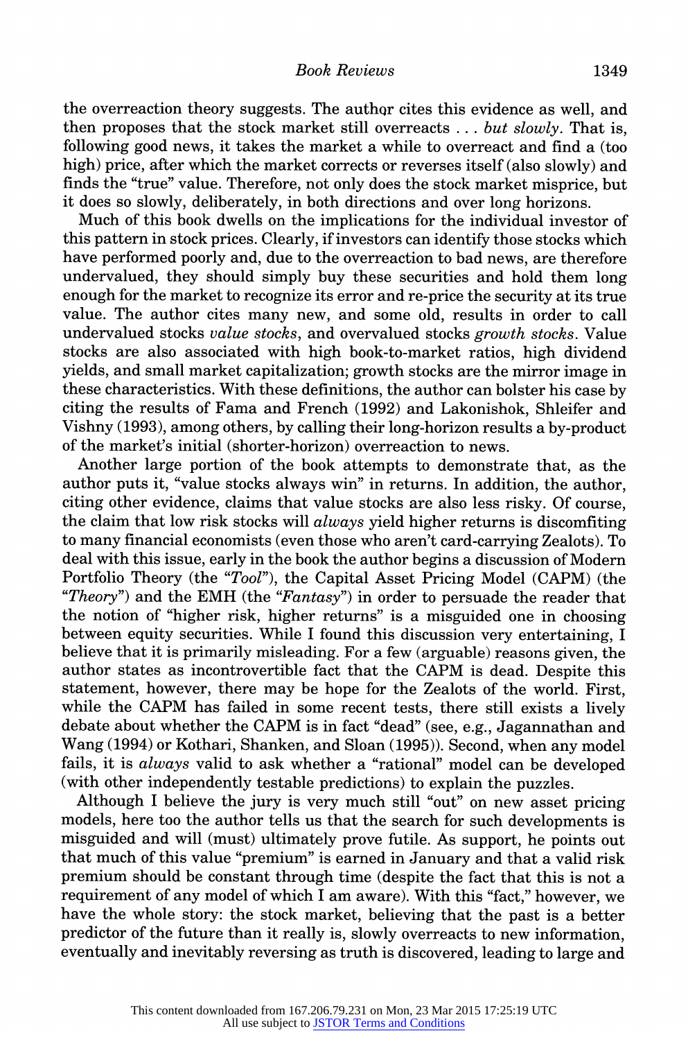the overreaction theory suggests. The author cites this evidence as well, and **then proposes that the stock market still overreacts . . . but slowly. That is, following good news, it takes the market a while to overreact and find a (too high) price, after which the market corrects or reverses itself (also slowly) and finds the "true" value. Therefore, not only does the stock market misprice, but it does so slowly, deliberately, in both directions and over long horizons.** 

**Much of this book dwells on the implications for the individual investor of this pattern in stock prices. Clearly, if investors can identify those stocks which have performed poorly and, due to the overreaction to bad news, are therefore undervalued, they should simply buy these securities and hold them long enough for the market to recognize its error and re-price the security at its true value. The author cites many new, and some old, results in order to call undervalued stocks value stocks, and overvalued stocks growth stocks. Value stocks are also associated with high book-to-market ratios, high dividend yields, and small market capitalization; growth stocks are the mirror image in these characteristics. With these definitions, the author can bolster his case by citing the results of Fama and French (1992) and Lakonishok, Shleifer and Vishny (1993), among others, by calling their long-horizon results a by-product of the market's initial (shorter-horizon) overreaction to news.** 

**Another large portion of the book attempts to demonstrate that, as the author puts it, "value stocks always win" in returns. In addition, the author, citing other evidence, claims that value stocks are also less risky. Of course, the claim that low risk stocks will always yield higher returns is discomfiting to many financial economists (even those who aren't card-carrying Zealots). To deal with this issue, early in the book the author begins a discussion of Modern Portfolio Theory (the "Tool"), the Capital Asset Pricing Model (CAPM) (the "Theory") and the EMH (the "Fantasy") in order to persuade the reader that the notion of "higher risk, higher returns" is a misguided one in choosing between equity securities. While I found this discussion very entertaining, I believe that it is primarily misleading. For a few (arguable) reasons given, the author states as incontrovertible fact that the CAPM is dead. Despite this statement, however, there may be hope for the Zealots of the world. First, while the CAPM has failed in some recent tests, there still exists a lively debate about whether the CAPM is in fact "dead" (see, e.g., Jagannathan and Wang (1994) or Kothari, Shanken, and Sloan (1995)). Second, when any model fails, it is always valid to ask whether a "rational" model can be developed (with other independently testable predictions) to explain the puzzles.** 

**Although I believe the jury is very much still "out" on new asset pricing models, here too the author tells us that the search for such developments is misguided and will (must) ultimately prove futile. As support, he points out that much of this value "premium" is earned in January and that a valid risk premium should be constant through time (despite the fact that this is not a requirement of any model of which I am aware). With this "fact," however, we have the whole story: the stock market, believing that the past is a better predictor of the future than it really is, slowly overreacts to new information, eventually and inevitably reversing as truth is discovered, leading to large and**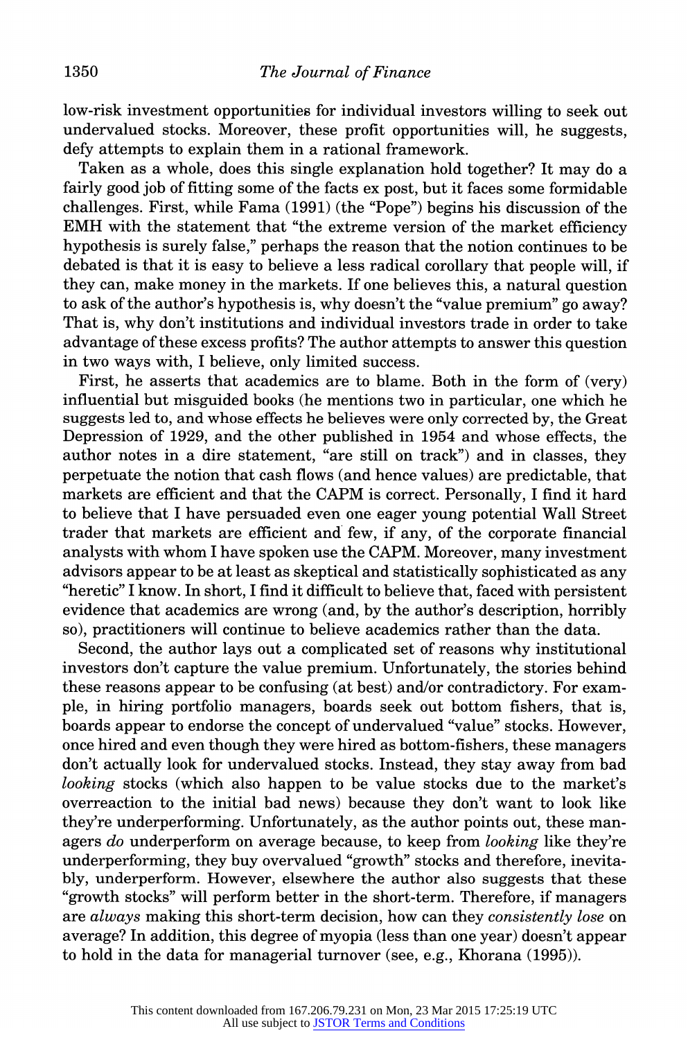**low-risk investment opportunities for individual investors willing to seek out undervalued stocks. Moreover, these profit opportunities will, he suggests, defy attempts to explain them in a rational framework.** 

**Taken as a whole, does this single explanation hold together? It may do a fairly good job of fitting some of the facts ex post, but it faces some formidable challenges. First, while Fama (1991) (the "Pope") begins his discussion of the EMH with the statement that "the extreme version of the market efficiency hypothesis is surely false," perhaps the reason that the notion continues to be debated is that it is easy to believe a less radical corollary that people will, if they can, make money in the markets. If one believes this, a natural question to ask of the author's hypothesis is, why doesn't the "value premium" go away? That is, why don't institutions and individual investors trade in order to take advantage of these excess profits? The author attempts to answer this question in two ways with, I believe, only limited success.** 

**First, he asserts that academics are to blame. Both in the form of (very) influential but misguided books (he mentions two in particular, one which he suggests led to, and whose effects he believes were only corrected by, the Great Depression of 1929, and the other published in 1954 and whose effects, the author notes in a dire statement, "are still on track") and in classes, they perpetuate the notion that cash flows (and hence values) are predictable, that markets are efficient and that the CAPM is correct. Personally, I find it hard to believe that I have persuaded even one eager young potential Wall Street trader that markets are efficient and few, if any, of the corporate financial analysts with whom I have spoken use the CAPM. Moreover, many investment advisors appear to be at least as skeptical and statistically sophisticated as any "heretic" I know. In short, I find it difficult to believe that, faced with persistent evidence that academics are wrong (and, by the author's description, horribly so), practitioners will continue to believe academics rather than the data.** 

**Second, the author lays out a complicated set of reasons why institutional investors don't capture the value premium. Unfortunately, the stories behind these reasons appear to be confusing (at best) and/or contradictory. For example, in hiring portfolio managers, boards seek out bottom fishers, that is, boards appear to endorse the concept of undervalued "value" stocks. However, once hired and even though they were hired as bottom-fishers, these managers don't actually look for undervalued stocks. Instead, they stay away from bad looking stocks (which also happen to be value stocks due to the market's overreaction to the initial bad news) because they don't want to look like they're underperforming. Unfortunately, as the author points out, these managers do underperform on average because, to keep from looking like they're underperforming, they buy overvalued "growth" stocks and therefore, inevitably, underperform. However, elsewhere the author also suggests that these "growth stocks" will perform better in the short-term. Therefore, if managers are always making this short-term decision, how can they consistently lose on average? In addition, this degree of myopia (less than one year) doesn't appear to hold in the data for managerial turnover (see, e.g., Khorana (1995)).**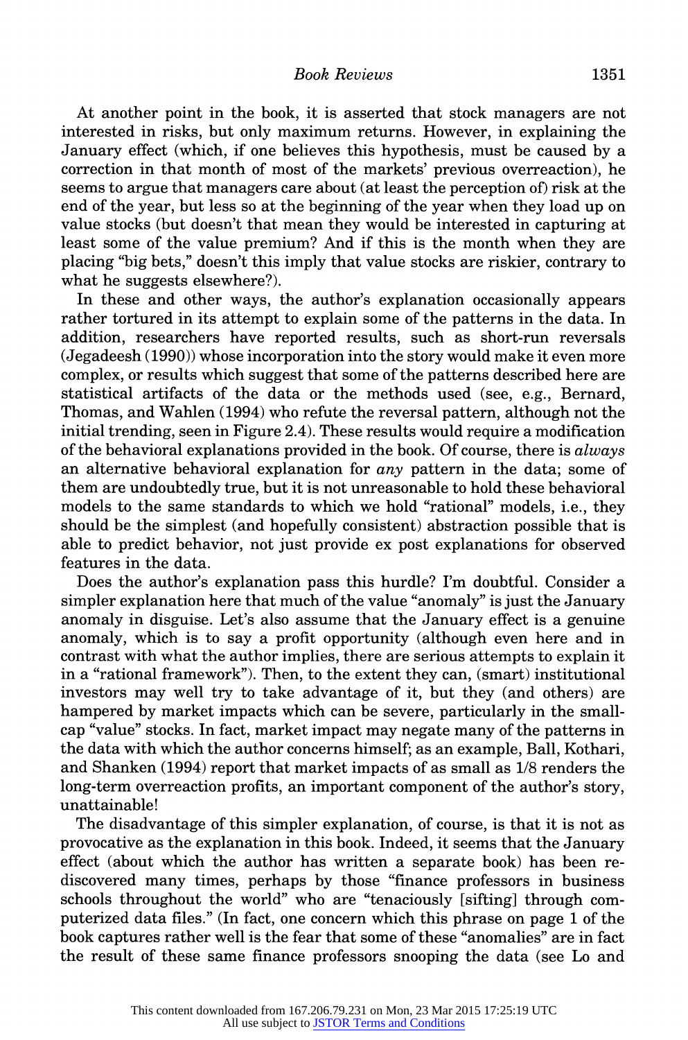**At another point in the book, it is asserted that stock managers are not interested in risks, but only maximum returns. However, in explaining the January effect (which, if one believes this hypothesis, must be caused by a correction in that month of most of the markets' previous overreaction), he seems to argue that managers care about (at least the perception of) risk at the end of the year, but less so at the beginning of the year when they load up on value stocks (but doesn't that mean they would be interested in capturing at least some of the value premium? And if this is the month when they are placing "big bets," doesn't this imply that value stocks are riskier, contrary to what he suggests elsewhere?).** 

**In these and other ways, the author's explanation occasionally appears rather tortured in its attempt to explain some of the patterns in the data. In addition, researchers have reported results, such as short-run reversals (Jegadeesh (1990)) whose incorporation into the story would make it even more complex, or results which suggest that some of the patterns described here are statistical artifacts of the data or the methods used (see, e.g., Bernard, Thomas, and Wahlen (1994) who refute the reversal pattern, although not the initial trending, seen in Figure 2.4). These results would require a modification of the behavioral explanations provided in the book. Of course, there is always an alternative behavioral explanation for any pattern in the data; some of them are undoubtedly true, but it is not unreasonable to hold these behavioral models to the same standards to which we hold "rational" models, i.e., they should be the simplest (and hopefully consistent) abstraction possible that is able to predict behavior, not just provide ex post explanations for observed features in the data.** 

**Does the author's explanation pass this hurdle? I'm doubtful. Consider a simpler explanation here that much of the value "anomaly" is just the January anomaly in disguise. Let's also assume that the January effect is a genuine anomaly, which is to say a profit opportunity (although even here and in contrast with what the author implies, there are serious attempts to explain it in a "rational framework"). Then, to the extent they can, (smart) institutional investors may well try to take advantage of it, but they (and others) are hampered by market impacts which can be severe, particularly in the smallcap "value" stocks. In fact, market impact may negate many of the patterns in the data with which the author concerns himself; as an example, Ball, Kothari, and Shanken (1994) report that market impacts of as small as 1/8 renders the long-term overreaction profits, an important component of the author's story, unattainable!** 

**The disadvantage of this simpler explanation, of course, is that it is not as provocative as the explanation in this book. Indeed, it seems that the January effect (about which the author has written a separate book) has been rediscovered many times, perhaps by those "finance professors in business schools throughout the world" who are "tenaciously [sifting] through computerized data files." (In fact, one concern which this phrase on page 1 of the book captures rather well is the fear that some of these "anomalies" are in fact the result of these same finance professors snooping the data (see Lo and**